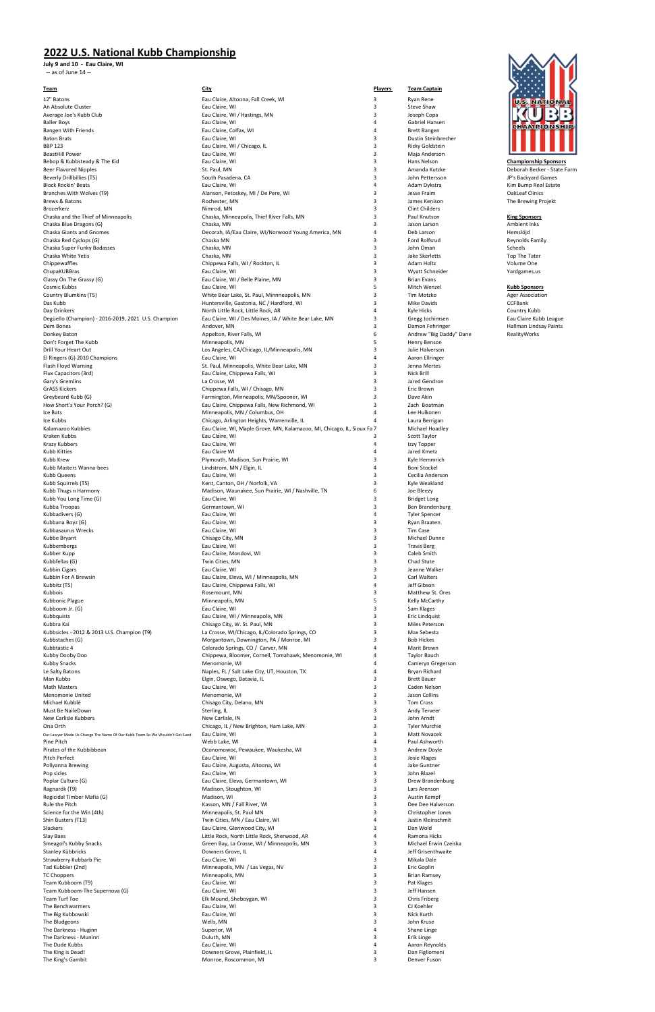## **2022 U.S. National Kubb Championship**

**July 9 and 10 - Eau Claire, WI** -- as of June 14 --

| <u>Team</u>                                                                 | <b>City</b>                                                             | <b>Players</b> | <b>Team Captain</b>     |                              |
|-----------------------------------------------------------------------------|-------------------------------------------------------------------------|----------------|-------------------------|------------------------------|
| 12" Batons                                                                  | Eau Claire, Altoona, Fall Creek, WI                                     | 3              | Ryan Rene               | U.S. NATIONAL                |
| An Absolute Cluster                                                         | Eau Claire, WI                                                          | 3              | Steve Shaw              |                              |
| Average Joe's Kubb Club                                                     | Eau Claire, WI / Hastings, MN                                           | 3              | Joseph Copa             |                              |
| <b>Baller Boys</b>                                                          | Eau Claire, WI                                                          | $\overline{4}$ | Gabriel Hansen          | <b>CHAMPIONSHIP</b>          |
| <b>Bangen With Friends</b>                                                  | Eau Claire, Colfax, WI                                                  | $\overline{4}$ | <b>Brett Bangen</b>     |                              |
| <b>Baton Brats</b>                                                          | Eau Claire, WI                                                          | 3              | Dustin Steinbrecher     |                              |
| <b>BBP 123</b>                                                              | Eau Claire, WI / Chicago, IL                                            | 3              | <b>Ricky Goldstein</b>  |                              |
| <b>BeastHill Power</b>                                                      | Eau Claire, WI                                                          | 3              | Maja Anderson           |                              |
| Bebop & Kubbsteady & The Kid                                                | Eau Claire, WI                                                          | 3              | Hans Nelson             | <b>Championship Sponsors</b> |
| Beer Flavored Nipples                                                       | St. Paul, MN                                                            | 3              | Amanda Kutzke           | Deborah Becker - State Farm  |
| Beverly Drillbillies (T5)                                                   | South Pasadena, CA                                                      | 3              | John Pettersson         | JP's Backyard Games          |
| <b>Block Rockin' Beats</b>                                                  | Eau Claire, WI                                                          | $\overline{4}$ | Adam Dykstra            | Kim Bump Real Estate         |
| Branches With Wolves (T9)                                                   | Alanson, Petoskey, MI / De Pere, WI                                     | 3              | Jesse Fraim             | <b>OakLeaf Clinics</b>       |
| Brews & Batons                                                              | Rochester, MN                                                           | 3              | James Kenison           | The Brewing Projekt          |
| Brozerkerz                                                                  | Nimrod, MN                                                              | 3              | <b>Clint Childers</b>   |                              |
| Chaska and the Thief of Minneapolis                                         | Chaska, Minneapolis, Thief River Falls, MN                              | 3              | Paul Knutson            | <b>King Sponsors</b>         |
| Chaska Blue Dragons (G)                                                     | Chaska, MN                                                              | 3              | Jason Larson            | Ambient Inks                 |
| <b>Chaska Giants and Gnomes</b>                                             | Decorah, IA/Eau Claire, WI/Norwood Young America, MN                    | $\overline{4}$ | Deb Larson              | Hemslöjd                     |
| Chaska Red Cyclops (G)                                                      | Chaska MN                                                               | 3              | Ford Rolfsrud           | Reynolds Family              |
| Chaska Super Funky Badasses                                                 | Chaska, MN                                                              | 3              | John Oman               | Scheels                      |
| Chaska White Yetis                                                          | Chaska, MN                                                              | 3              | Jake Skerletts          | Top The Tater                |
| Chippewaffles                                                               | Chippewa Falls, WI / Rockton, IL                                        | 3              | Adam Holtz              | Volume One                   |
| ChupaKUBBras                                                                | Eau Claire, WI                                                          | 3              | Wyatt Schneider         | Yardgames.us                 |
| Classy On The Grassy (G)                                                    | Eau Claire, WI / Belle Plaine, MN                                       | 3              | <b>Brian Evans</b>      |                              |
| Cosmic Kubbs                                                                | Eau Claire, WI                                                          | 5              | Mitch Wenzel            | <b>Kubb Sponsors</b>         |
| Country Blumkins (T5)                                                       | White Bear Lake, St. Paul, Minnneapolis, MN                             | 3              | Tim Motzko              | <b>Ager Association</b>      |
| Das Kubb                                                                    | Huntersville, Gastonia, NC / Hardford, WI                               | 3              | <b>Mike Davids</b>      | <b>CCFBank</b>               |
| Day Drinkers                                                                | North Little Rock, Little Rock, AR                                      | $\overline{4}$ | Kyle Hicks              | Country Kubb                 |
| Degüello (Champion) - 2016-2019, 2021 U.S. Champion                         | Eau Claire, WI / Des Moines, IA / White Bear Lake, MN                   | 3              | Gregg Jochimsen         | Eau Claire Kubb League       |
| Dem Bones                                                                   | Andover, MN                                                             | 3              | Damon Fehringer         | Hallman Lindsay Paints       |
| Donkey Baton                                                                | Appelton, River Falls, WI                                               | 6              | Andrew "Big Daddy" Dane | RealityWorks                 |
| Don't Forget The Kubb                                                       | Minneapolis, MN                                                         | 5              | Henry Benson            |                              |
| Drill Your Heart Out                                                        | Los Angeles, CA/Chicago, IL/Minneapolis, MN                             | 3              | Julie Halverson         |                              |
|                                                                             |                                                                         | $\overline{4}$ |                         |                              |
| El Ringers (G) 2010 Champions                                               | Eau Claire, WI                                                          | 3              | Aaron Ellringer         |                              |
| Flash Floyd Warning                                                         | St. Paul, Minneapolis, White Bear Lake, MN                              | 3              | Jenna Mertes            |                              |
| Flux Capacitors (3rd)                                                       | Eau Claire, Chippewa Falls, WI                                          |                | <b>Nick Brill</b>       |                              |
| Gary's Gremlins                                                             | La Crosse, WI                                                           | 3              | Jared Gendron           |                              |
| <b>GrASS Kickers</b>                                                        | Chippewa Falls, WI / Chisago, MN                                        | 3              | Eric Brown              |                              |
| Greybeard Kubb (G)                                                          | Farmington, Minneapolis, MN/Spooner, WI                                 | 3              | Dave Akin               |                              |
| How Short's Your Porch? (G)                                                 | Eau Claire, Chippewa Falls, New Richmond, WI                            | 3              | Zach Boatman            |                              |
| Ice Bats                                                                    | Minneapolis, MN / Columbus, OH                                          | $\overline{4}$ | Lee Hulkonen            |                              |
| Ice Kubbs                                                                   | Chicago, Arlington Heights, Warrenville, IL                             | 4              | Laura Berrigan          |                              |
| Kalamazoo Kubbies                                                           | Eau Claire, WI, Maple Grove, MN, Kalamazoo, MI, Chicago, IL, Sioux Fa 7 |                | Michael Hoadley         |                              |
| Kraken Kubbs                                                                | Eau Claire, WI                                                          | 3              | Scott Taylor            |                              |
| <b>Krazy Kubbers</b>                                                        | Eau Claire, WI                                                          | $\overline{4}$ | Izzy Topper             |                              |
| <b>Kubb Kitties</b>                                                         | Eau Claire WI                                                           | $\overline{4}$ | Jared Kmetz             |                              |
| Kubb Krew                                                                   | Plymouth, Madison, Sun Prairie, WI                                      | 3              | Kyle Hemmrich           |                              |
| Kubb Masters Wanna-bees                                                     | Lindstrom, MN / Elgin, IL                                               | $\overline{4}$ | Boni Stockel            |                              |
| Kubb Queens                                                                 | Eau Claire, WI                                                          | 3              | Cecilia Anderson        |                              |
| Kubb Squirrels (T5)                                                         | Kent, Canton, OH / Norfolk, VA                                          | 3              | Kyle Weakland           |                              |
| Kubb Thugs n Harmony                                                        | Madison, Waunakee, Sun Prairie, WI / Nashville, TN                      | 6              | Joe Bleezy              |                              |
| Kubb You Long Time (G)                                                      | Eau Claire, WI                                                          | 3              | <b>Bridget Long</b>     |                              |
| Kubba Troopas                                                               | Germantown, WI                                                          | 3              | Ben Brandenburg         |                              |
| Kubbadivers (G)                                                             | Eau Claire, WI                                                          | $\overline{4}$ | <b>Tyler Spencer</b>    |                              |
| Kubbana Boyz (G)                                                            | Eau Claire, WI                                                          | 3              | Ryan Braaten            |                              |
| Kubbasaurus Wrecks                                                          | Eau Claire, WI                                                          | 3              | Tim Case                |                              |
| Kubbe Bryant                                                                | Chisago City, MN                                                        | 3              | Michael Dunne           |                              |
| Kubbembergs                                                                 | Eau Claire, WI                                                          | 3              | <b>Travis Berg</b>      |                              |
| Kubber Kupp                                                                 | Eau Claire, Mondovi, WI                                                 | 3              | Caleb Smith             |                              |
| Kubbfellas (G)                                                              | Twin Cities, MN                                                         | 3              | Chad Stute              |                              |
| Kubbin Cigars                                                               | Eau Claire, WI                                                          | 3              | Jeanne Walker           |                              |
| Kubbin For A Brewsin                                                        | Eau Claire, Eleva, WI / Minneapolis, MN                                 | 3              | Carl Walters            |                              |
| Kubbitz (T5)                                                                | Eau Claire, Chippewa Falls, WI                                          | $\overline{4}$ | Jeff Gibson             |                              |
| Kubbois                                                                     | Rosemount, MN                                                           | 3              | Matthew St. Ores        |                              |
| Kubbonic Plague                                                             | Minneapolis, MN                                                         | 5              | Kelly McCarthy          |                              |
| Kubboom Jr. (G)                                                             | Eau Claire, WI                                                          | 3              | Sam Klages              |                              |
| Kubbquists                                                                  | Eau Claire, WI / Minneapolis, MN                                        | 3              | Eric Lindquist          |                              |
| Kubbra Kai                                                                  | Chisago City, W. St. Paul, MN                                           | 3              | Miles Peterson          |                              |
| Kubbsicles - 2012 & 2013 U.S. Champion (T9)                                 | La Crosse, WI/Chicago, IL/Colorado Springs, CO                          | 3              | Max Sebesta             |                              |
| Kubbstaches (G)                                                             | Morgantown, Downington, PA / Monroe, MI                                 | 3              | <b>Bob Hickes</b>       |                              |
| Kubbtastic 4                                                                | Colorado Springs, CO / Carver, MN                                       | 4              | Marit Brown             |                              |
| Kubby Dooby Doo                                                             | Chippewa, Bloomer, Cornell, Tomahawk, Menomonie, WI                     | $\overline{4}$ | <b>Taylor Bauch</b>     |                              |
| <b>Kubby Snacks</b>                                                         | Menomonie, WI                                                           | 4              | Cameryn Gregerson       |                              |
| Le Salty Batons                                                             | Naples, FL / Salt Lake City, UT, Houston, TX                            | $\overline{4}$ | Bryan Richard           |                              |
| Man Kubbs                                                                   | Elgin, Oswego, Batavia, IL                                              | 3              | <b>Brett Bauer</b>      |                              |
| <b>Math Masters</b>                                                         | Eau Claire, WI                                                          | 3              | Caden Nelson            |                              |
| <b>Menomonie United</b>                                                     | Menomonie, WI                                                           | 3              | Jason Collins           |                              |
| Michael Kubblé                                                              | Chisago City, Delano, MN                                                | 3              | Tom Cross               |                              |
| Must Be NaileDown                                                           | Sterling, IL                                                            | 3              | Andy Terveer            |                              |
| New Carlisle Kubbers                                                        | New Carlisle, IN                                                        | 3              | John Arndt              |                              |
| Ona Orth                                                                    | Chicago, IL / New Brighton, Ham Lake, MN                                | 3              | <b>Tyler Murchie</b>    |                              |
| Our Lawyer Made Us Change The Name Of Our Kubb Team So We Wouldn't Get Sued | Eau Claire, WI                                                          | 3              | <b>Matt Novacek</b>     |                              |
| Pine Pitch                                                                  | Webb Lake, WI                                                           | $\overline{4}$ | Paul Ashworth           |                              |
| Pirates of the Kubbibbean                                                   | Oconomowoc, Pewaukee, Waukesha, WI                                      | 3              | Andrew Doyle            |                              |
| Pitch Perfect                                                               | Eau Claire, WI                                                          | 3              | Josie Klages            |                              |
| Pollyanna Brewing                                                           | Eau Claire, Augusta, Altoona, WI                                        | $\overline{4}$ | Jake Guntner            |                              |
| Pop sicles                                                                  | Eau Claire, WI                                                          | 3              | John Blazel             |                              |
| Poplar Culture (G)                                                          | Eau Claire, Eleva, Germantown, WI                                       | 3              | Drew Brandenburg        |                              |
| Ragnarök (T9)                                                               | Madison, Stoughton, WI                                                  | 3              | Lars Arenson            |                              |
| Regicidal Timber Mafia (G)                                                  | Madison, WI                                                             | 3              | Austin Kempf            |                              |
| Rule the Pitch                                                              | Kasson, MN / Fall River, WI                                             | 3              | Dee Dee Halverson       |                              |
| Science for the Win (4th)                                                   | Minneapolis, St. Paul MN                                                | 3              | Christopher Jones       |                              |
| Shin Busters (T13)                                                          | Twin Cities, MN / Eau Claire, WI                                        | 4              | Justin Kleinschmit      |                              |
| Slackers                                                                    | Eau Claire, Glenwood City, WI                                           | з              | Dan Wold                |                              |
| Slay Baes                                                                   | Little Rock, North Little Rock, Sherwood, AR                            | 4              | Ramona Hicks            |                              |
| Smeagol's Kubby Snacks                                                      | Green Bay, La Crosse, WI / Minneapolis, MN                              | 3              | Michael Erwin Czeiska   |                              |
| Stanley Kübbricks                                                           | Downers Grove, IL                                                       | $\overline{4}$ | Jeff Grisenthwaite      |                              |
| Strawberry Kubbarb Pie                                                      | Eau Claire, WI                                                          | 3              | Mikala Dale             |                              |
| Tad Kubbler (2nd)                                                           | Minneapolis, MN / Las Vegas, NV                                         | 3              | Eric Goplin             |                              |
| <b>TC Choppers</b>                                                          | Minneapolis, MN                                                         | 3              | <b>Brian Ramsey</b>     |                              |
| Team Kubboom (T9)                                                           | Eau Claire, WI                                                          | 3              | Pat Klages              |                              |
| Team Kubboom-The Supernova (G)                                              | Eau Claire, WI                                                          | 3              | Jeff Hansen             |                              |
| Team Turf Toe                                                               | Elk Mound, Sheboygan, WI                                                | 3              | <b>Chris Friberg</b>    |                              |
| The Benchwarmers                                                            | Eau Claire, WI                                                          | 3              | CJ Koehler              |                              |
| The Big Kubbowski                                                           | Eau Claire, WI                                                          | 3              | Nick Kurth              |                              |
| The Bludgeons                                                               | Wells, MN                                                               | 3              | John Kruse              |                              |
| The Darkness - Huginn                                                       | Superior, WI                                                            | $\overline{4}$ | Shane Linge             |                              |
| The Darkness - Muninn                                                       | Duluth, MN                                                              | 3              | Erik Linge              |                              |
| The Dude Kubbs                                                              | Eau Claire, WI                                                          | 4              | Aaron Reynolds          |                              |
| The King is Dead!                                                           | Downers Grove, Plainfield, IL                                           | 3              | Dan Figliomeni          |                              |
| The King's Gambit                                                           | Monroe, Roscommon, MI                                                   | 3              | Denver Fuson            |                              |